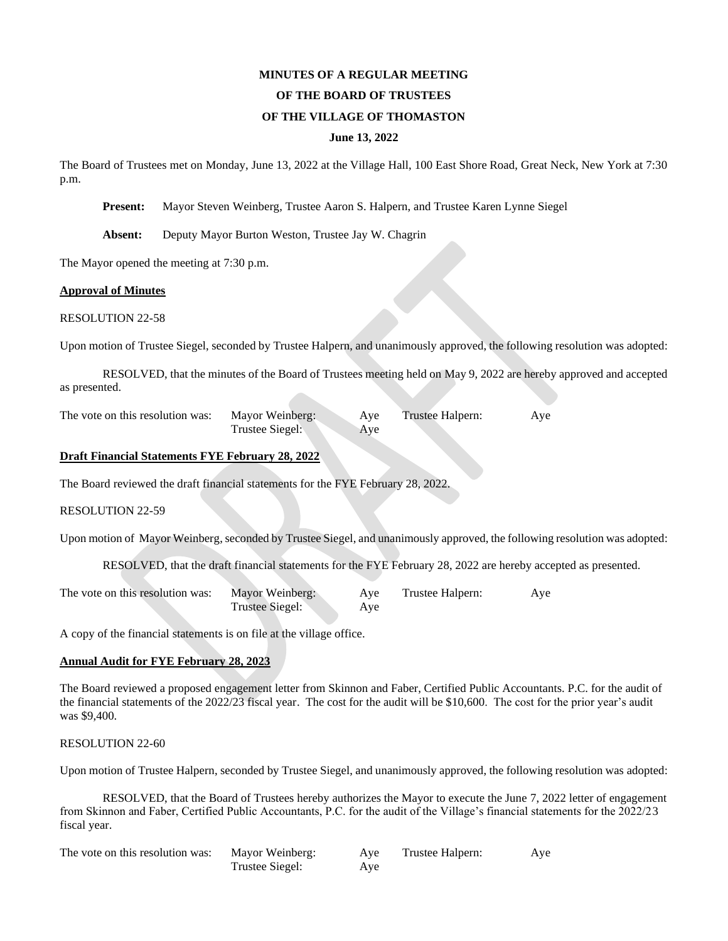# **MINUTES OF A REGULAR MEETING OF THE BOARD OF TRUSTEES**

# **OF THE VILLAGE OF THOMASTON**

#### **June 13, 2022**

The Board of Trustees met on Monday, June 13, 2022 at the Village Hall, 100 East Shore Road, Great Neck, New York at 7:30 p.m.

**Present:** Mayor Steven Weinberg, Trustee Aaron S. Halpern, and Trustee Karen Lynne Siegel

**Absent:** Deputy Mayor Burton Weston, Trustee Jay W. Chagrin

The Mayor opened the meeting at 7:30 p.m.

#### **Approval of Minutes**

RESOLUTION 22-58

Upon motion of Trustee Siegel, seconded by Trustee Halpern, and unanimously approved, the following resolution was adopted:

RESOLVED, that the minutes of the Board of Trustees meeting held on May 9, 2022 are hereby approved and accepted as presented.

The vote on this resolution was: Mayor Weinberg: Aye Trustee Halpern: Aye Trustee Siegel: Aye

# **Draft Financial Statements FYE February 28, 2022**

The Board reviewed the draft financial statements for the FYE February 28, 2022.

RESOLUTION 22-59

Upon motion of Mayor Weinberg, seconded by Trustee Siegel, and unanimously approved, the following resolution was adopted:

RESOLVED, that the draft financial statements for the FYE February 28, 2022 are hereby accepted as presented.

| The vote on this resolution was: | Mayor Weinberg: | Ave | Trustee Halpern: | Aye |
|----------------------------------|-----------------|-----|------------------|-----|
|                                  | Trustee Siegel: | Aye |                  |     |

A copy of the financial statements is on file at the village office.

# **Annual Audit for FYE February 28, 2023**

The Board reviewed a proposed engagement letter from Skinnon and Faber, Certified Public Accountants. P.C. for the audit of the financial statements of the 2022/23 fiscal year. The cost for the audit will be \$10,600. The cost for the prior year's audit was \$9,400.

## RESOLUTION 22-60

Upon motion of Trustee Halpern, seconded by Trustee Siegel, and unanimously approved, the following resolution was adopted:

RESOLVED, that the Board of Trustees hereby authorizes the Mayor to execute the June 7, 2022 letter of engagement from Skinnon and Faber, Certified Public Accountants, P.C. for the audit of the Village's financial statements for the 2022/23 fiscal year.

| The vote on this resolution was: | Mayor Weinberg: | Aye | Trustee Halpern: | Aye |
|----------------------------------|-----------------|-----|------------------|-----|
|                                  | Trustee Siegel: | Ave |                  |     |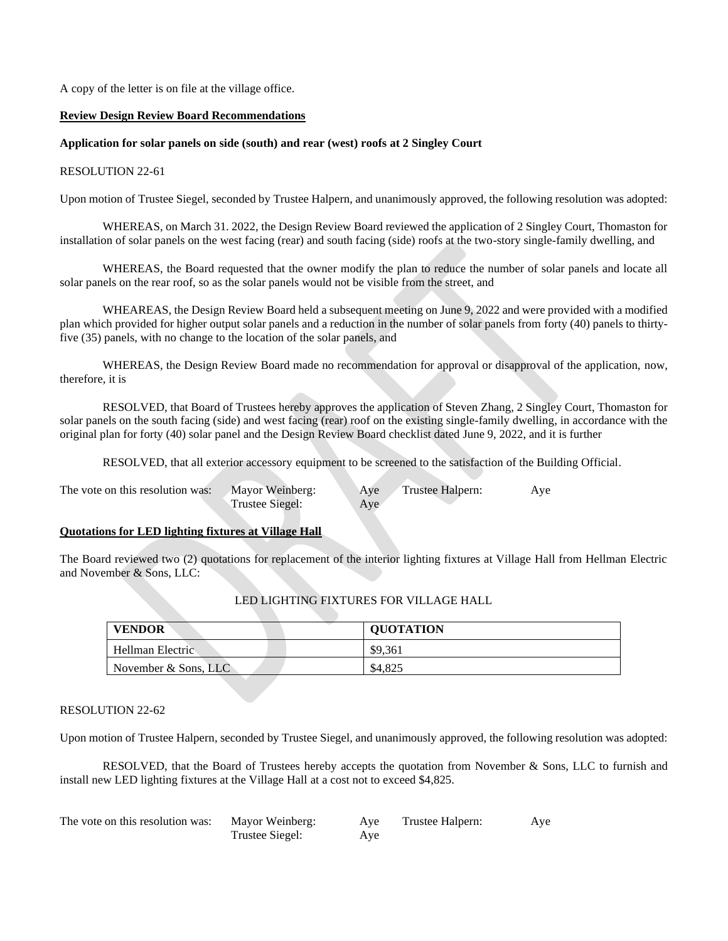A copy of the letter is on file at the village office.

#### **Review Design Review Board Recommendations**

### **Application for solar panels on side (south) and rear (west) roofs at 2 Singley Court**

#### RESOLUTION 22-61

Upon motion of Trustee Siegel, seconded by Trustee Halpern, and unanimously approved, the following resolution was adopted:

WHEREAS, on March 31. 2022, the Design Review Board reviewed the application of 2 Singley Court, Thomaston for installation of solar panels on the west facing (rear) and south facing (side) roofs at the two-story single-family dwelling, and

WHEREAS, the Board requested that the owner modify the plan to reduce the number of solar panels and locate all solar panels on the rear roof, so as the solar panels would not be visible from the street, and

WHEAREAS, the Design Review Board held a subsequent meeting on June 9, 2022 and were provided with a modified plan which provided for higher output solar panels and a reduction in the number of solar panels from forty (40) panels to thirtyfive (35) panels, with no change to the location of the solar panels, and

WHEREAS, the Design Review Board made no recommendation for approval or disapproval of the application, now, therefore, it is

RESOLVED, that Board of Trustees hereby approves the application of Steven Zhang, 2 Singley Court, Thomaston for solar panels on the south facing (side) and west facing (rear) roof on the existing single-family dwelling, in accordance with the original plan for forty (40) solar panel and the Design Review Board checklist dated June 9, 2022, and it is further

RESOLVED, that all exterior accessory equipment to be screened to the satisfaction of the Building Official.

| The vote on this resolution was: | Mayor Weinberg: | Ave | Trustee Halpern: | Ave |
|----------------------------------|-----------------|-----|------------------|-----|
|                                  | Trustee Siegel: | Aye |                  |     |

# **Quotations for LED lighting fixtures at Village Hall**

The Board reviewed two (2) quotations for replacement of the interior lighting fixtures at Village Hall from Hellman Electric and November & Sons, LLC:

| <b>VENDOR</b>           | <b>QUOTATION</b> |
|-------------------------|------------------|
| Hellman Electric        | \$9.361          |
| November $\&$ Sons, LLC | \$4,825          |

## LED LIGHTING FIXTURES FOR VILLAGE HALL

## RESOLUTION 22-62

Upon motion of Trustee Halpern, seconded by Trustee Siegel, and unanimously approved, the following resolution was adopted:

RESOLVED, that the Board of Trustees hereby accepts the quotation from November & Sons, LLC to furnish and install new LED lighting fixtures at the Village Hall at a cost not to exceed \$4,825.

| The vote on this resolution was: | Mayor Weinberg: | Aye | Trustee Halpern: | Aye |
|----------------------------------|-----------------|-----|------------------|-----|
|                                  | Trustee Siegel: | Ave |                  |     |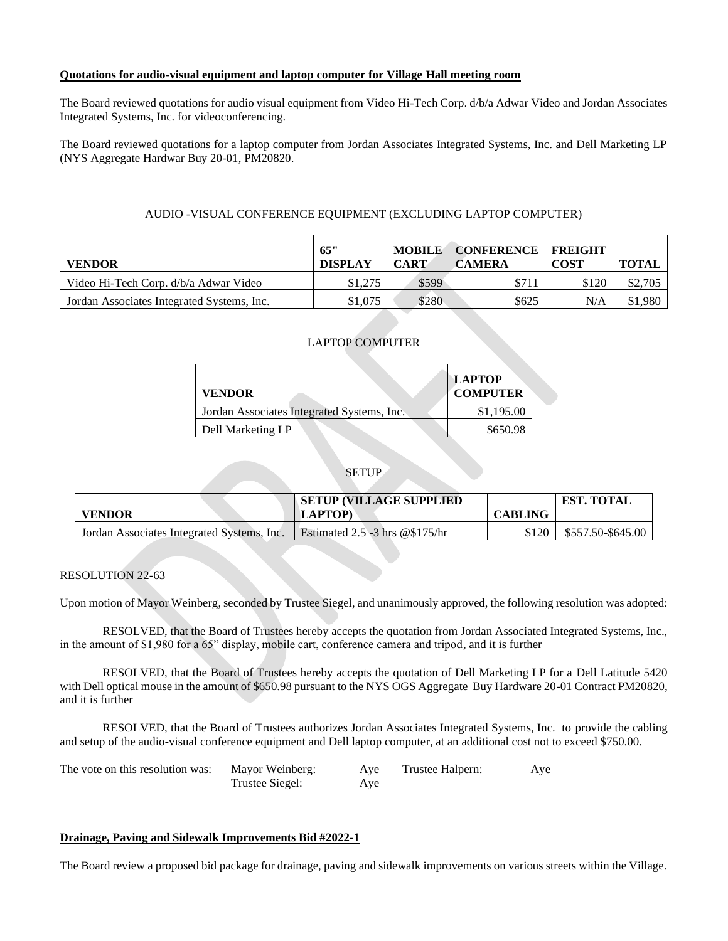## **Quotations for audio-visual equipment and laptop computer for Village Hall meeting room**

The Board reviewed quotations for audio visual equipment from Video Hi-Tech Corp. d/b/a Adwar Video and Jordan Associates Integrated Systems, Inc. for videoconferencing.

The Board reviewed quotations for a laptop computer from Jordan Associates Integrated Systems, Inc. and Dell Marketing LP (NYS Aggregate Hardwar Buy 20-01, PM20820.

# AUDIO -VISUAL CONFERENCE EQUIPMENT (EXCLUDING LAPTOP COMPUTER)

| <b>VENDOR</b>                              | 65"<br><b>DISPLAY</b> | <b>MOBILE</b><br><b>CART</b> | <b>CONFERENCE   FREIGHT</b><br><b>CAMERA</b> | <b>COST</b> | <b>TOTAL</b> |
|--------------------------------------------|-----------------------|------------------------------|----------------------------------------------|-------------|--------------|
| Video Hi-Tech Corp. d/b/a Adwar Video      | \$1,275               | \$599                        | \$711                                        | \$120       | \$2,705      |
| Jordan Associates Integrated Systems, Inc. | \$1,075               | \$280                        | \$625                                        | N/A         | \$1,980      |

# LAPTOP COMPUTER

| <b>VENDOR</b>                              | <b>LAPTOP</b><br><b>COMPUTER</b> |  |
|--------------------------------------------|----------------------------------|--|
| Jordan Associates Integrated Systems, Inc. | \$1,195.00                       |  |
| Dell Marketing LP                          | \$650.98                         |  |

# **SETUP**

|                                            | <b>SETUP (VILLAGE SUPPLIED)</b>   |                | <b>EST. TOTAL</b> |
|--------------------------------------------|-----------------------------------|----------------|-------------------|
| <b>VENDOR</b>                              | <b>LAPTOP)</b>                    | <b>CABLING</b> |                   |
| Jordan Associates Integrated Systems, Inc. | Estimated $2.5 - 3$ hrs @\$175/hr | \$120          | \$557.50-\$645.00 |

# RESOLUTION 22-63

Upon motion of Mayor Weinberg, seconded by Trustee Siegel, and unanimously approved, the following resolution was adopted:

RESOLVED, that the Board of Trustees hereby accepts the quotation from Jordan Associated Integrated Systems, Inc., in the amount of \$1,980 for a 65" display, mobile cart, conference camera and tripod, and it is further

RESOLVED, that the Board of Trustees hereby accepts the quotation of Dell Marketing LP for a Dell Latitude 5420 with Dell optical mouse in the amount of \$650.98 pursuant to the NYS OGS Aggregate Buy Hardware 20-01 Contract PM20820, and it is further

RESOLVED, that the Board of Trustees authorizes Jordan Associates Integrated Systems, Inc. to provide the cabling and setup of the audio-visual conference equipment and Dell laptop computer, at an additional cost not to exceed \$750.00.

| The vote on this resolution was: | Mayor Weinberg: | Aye | Trustee Halpern: | Aye |
|----------------------------------|-----------------|-----|------------------|-----|
|                                  | Trustee Siegel: | Aye |                  |     |

## **Drainage, Paving and Sidewalk Improvements Bid #2022-1**

The Board review a proposed bid package for drainage, paving and sidewalk improvements on various streets within the Village.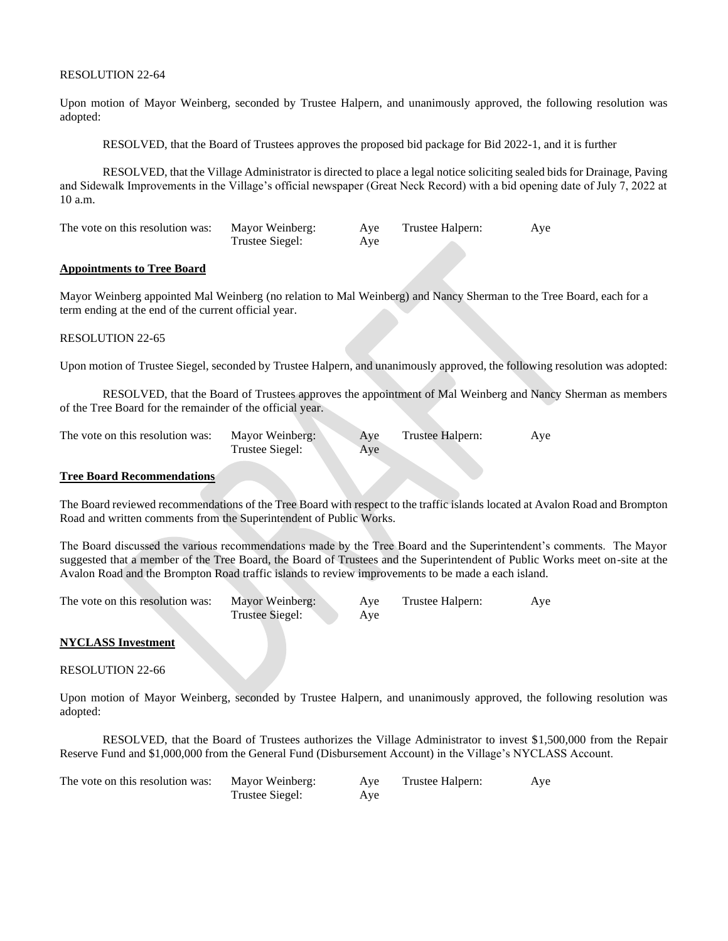### RESOLUTION 22-64

Upon motion of Mayor Weinberg, seconded by Trustee Halpern, and unanimously approved, the following resolution was adopted:

RESOLVED, that the Board of Trustees approves the proposed bid package for Bid 2022-1, and it is further

RESOLVED, that the Village Administrator is directed to place a legal notice soliciting sealed bids for Drainage, Paving and Sidewalk Improvements in the Village's official newspaper (Great Neck Record) with a bid opening date of July 7, 2022 at 10 a.m.

| The vote on this resolution was: | Mayor Weinberg: | Aye | Trustee Halpern: | Aye |
|----------------------------------|-----------------|-----|------------------|-----|
|                                  | Trustee Siegel: | Aye |                  |     |

## **Appointments to Tree Board**

Mayor Weinberg appointed Mal Weinberg (no relation to Mal Weinberg) and Nancy Sherman to the Tree Board, each for a term ending at the end of the current official year.

#### RESOLUTION 22-65

Upon motion of Trustee Siegel, seconded by Trustee Halpern, and unanimously approved, the following resolution was adopted:

RESOLVED, that the Board of Trustees approves the appointment of Mal Weinberg and Nancy Sherman as members of the Tree Board for the remainder of the official year.

| The vote on this resolution was: | Mayor Weinberg: | Ave | Trustee Halpern: | Aye |
|----------------------------------|-----------------|-----|------------------|-----|
|                                  | Trustee Siegel: | Aye |                  |     |

#### **Tree Board Recommendations**

The Board reviewed recommendations of the Tree Board with respect to the traffic islands located at Avalon Road and Brompton Road and written comments from the Superintendent of Public Works.

The Board discussed the various recommendations made by the Tree Board and the Superintendent's comments. The Mayor suggested that a member of the Tree Board, the Board of Trustees and the Superintendent of Public Works meet on-site at the Avalon Road and the Brompton Road traffic islands to review improvements to be made a each island.

| The vote on this resolution was: | Mayor Weinberg: | Ave | Trustee Halpern: | Aye |
|----------------------------------|-----------------|-----|------------------|-----|
|                                  | Trustee Siegel: | Ave |                  |     |

#### **NYCLASS Investment**

RESOLUTION 22-66

Upon motion of Mayor Weinberg, seconded by Trustee Halpern, and unanimously approved, the following resolution was adopted:

RESOLVED, that the Board of Trustees authorizes the Village Administrator to invest \$1,500,000 from the Repair Reserve Fund and \$1,000,000 from the General Fund (Disbursement Account) in the Village's NYCLASS Account.

| The vote on this resolution was: | Mayor Weinberg: | Ave | Trustee Halpern: | Aye |
|----------------------------------|-----------------|-----|------------------|-----|
|                                  | Trustee Siegel: | Aye |                  |     |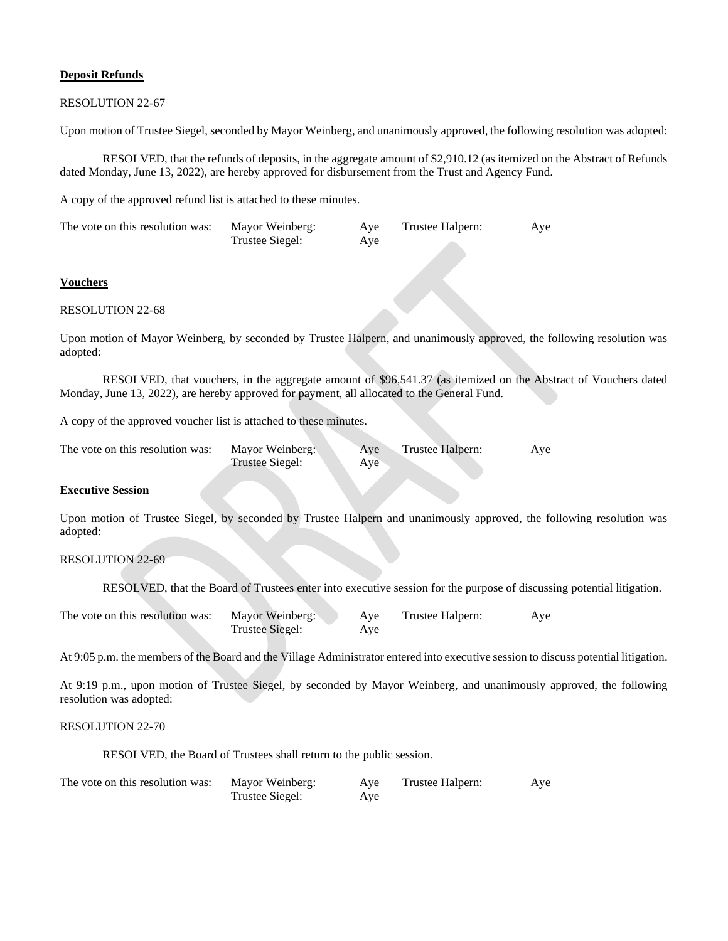## **Deposit Refunds**

### RESOLUTION 22-67

Upon motion of Trustee Siegel, seconded by Mayor Weinberg, and unanimously approved, the following resolution was adopted:

RESOLVED, that the refunds of deposits, in the aggregate amount of \$2,910.12 (as itemized on the Abstract of Refunds dated Monday, June 13, 2022), are hereby approved for disbursement from the Trust and Agency Fund.

A copy of the approved refund list is attached to these minutes.

| The vote on this resolution was: | Mayor Weinberg: | Aye | Trustee Halpern: | Aye |
|----------------------------------|-----------------|-----|------------------|-----|
|                                  | Trustee Siegel: | Aye |                  |     |

## **Vouchers**

#### RESOLUTION 22-68

Upon motion of Mayor Weinberg, by seconded by Trustee Halpern, and unanimously approved, the following resolution was adopted:

RESOLVED, that vouchers, in the aggregate amount of \$96,541.37 (as itemized on the Abstract of Vouchers dated Monday, June 13, 2022), are hereby approved for payment, all allocated to the General Fund.

A copy of the approved voucher list is attached to these minutes.

| The vote on this resolution was: | Mayor Weinberg: | Ave | Trustee Halpern: | Aye |
|----------------------------------|-----------------|-----|------------------|-----|
|                                  | Trustee Siegel: | Aye |                  |     |

# **Executive Session**

Upon motion of Trustee Siegel, by seconded by Trustee Halpern and unanimously approved, the following resolution was adopted:

# RESOLUTION 22-69

RESOLVED, that the Board of Trustees enter into executive session for the purpose of discussing potential litigation.

| The vote on this resolution was: | Mayor Weinberg: | Aye | Trustee Halpern: | Aye |
|----------------------------------|-----------------|-----|------------------|-----|
|                                  | Trustee Siegel: | Ave |                  |     |

At 9:05 p.m. the members of the Board and the Village Administrator entered into executive session to discuss potential litigation.

At 9:19 p.m., upon motion of Trustee Siegel, by seconded by Mayor Weinberg, and unanimously approved, the following resolution was adopted:

## RESOLUTION 22-70

RESOLVED, the Board of Trustees shall return to the public session.

| The vote on this resolution was: | Mayor Weinberg: | Aye | Trustee Halpern: | Aye |
|----------------------------------|-----------------|-----|------------------|-----|
|                                  | Trustee Siegel: | Aye |                  |     |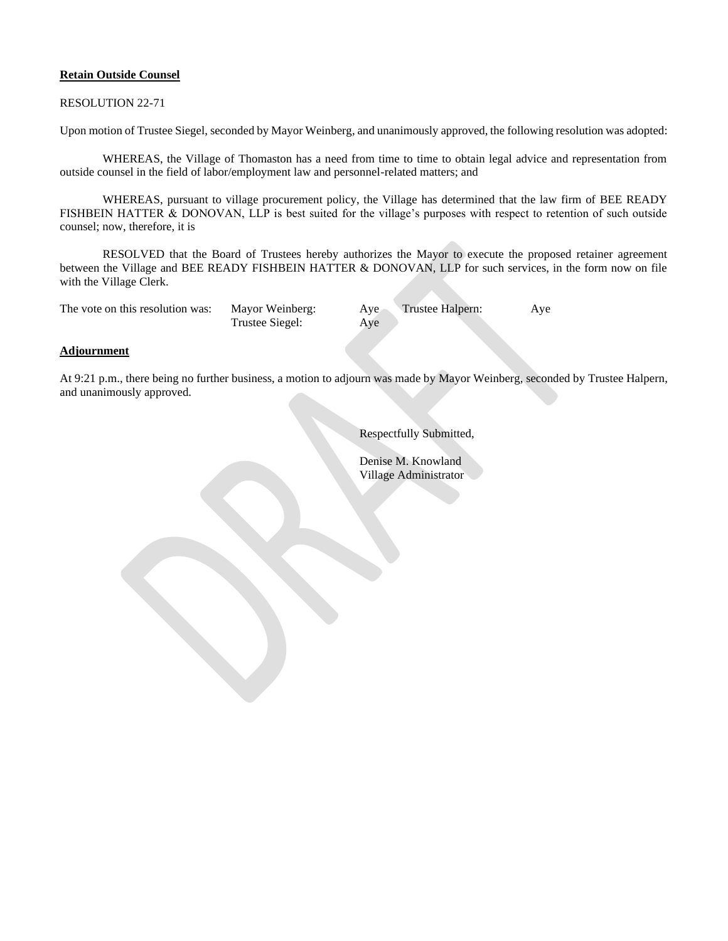## **Retain Outside Counsel**

RESOLUTION 22-71

Upon motion of Trustee Siegel, seconded by Mayor Weinberg, and unanimously approved, the following resolution was adopted:

WHEREAS, the Village of Thomaston has a need from time to time to obtain legal advice and representation from outside counsel in the field of labor/employment law and personnel-related matters; and

WHEREAS, pursuant to village procurement policy, the Village has determined that the law firm of BEE READY FISHBEIN HATTER & DONOVAN, LLP is best suited for the village's purposes with respect to retention of such outside counsel; now, therefore, it is

RESOLVED that the Board of Trustees hereby authorizes the Mayor to execute the proposed retainer agreement between the Village and BEE READY FISHBEIN HATTER & DONOVAN, LLP for such services, in the form now on file with the Village Clerk.

| The vote on this resolution was: | Mayor Weinberg: | Aye | Trustee Halpern: | Aye |
|----------------------------------|-----------------|-----|------------------|-----|
|                                  | Trustee Siegel: | Ave |                  |     |

## **Adjournment**

At 9:21 p.m., there being no further business, a motion to adjourn was made by Mayor Weinberg, seconded by Trustee Halpern, and unanimously approved.

Respectfully Submitted,

Denise M. Knowland Village Administrator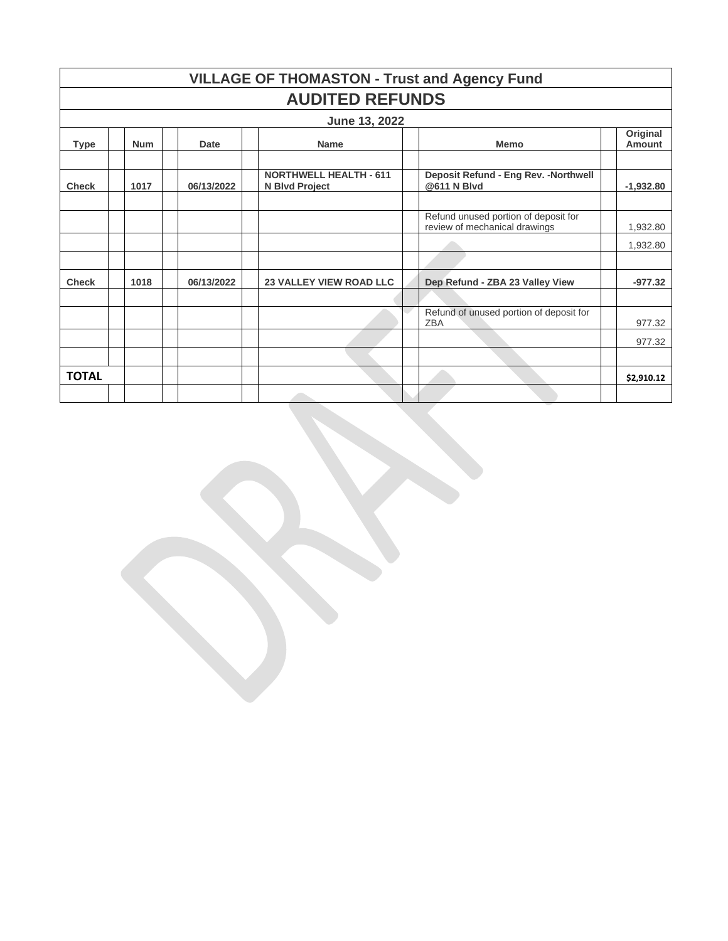| <b>VILLAGE OF THOMASTON - Trust and Agency Fund</b> |                        |  |            |                                                 |  |                                                                       |  |                    |  |  |
|-----------------------------------------------------|------------------------|--|------------|-------------------------------------------------|--|-----------------------------------------------------------------------|--|--------------------|--|--|
|                                                     | <b>AUDITED REFUNDS</b> |  |            |                                                 |  |                                                                       |  |                    |  |  |
|                                                     |                        |  |            | June 13, 2022                                   |  |                                                                       |  |                    |  |  |
| <b>Type</b>                                         | <b>Num</b>             |  | Date       | <b>Name</b>                                     |  | <b>Memo</b>                                                           |  | Original<br>Amount |  |  |
| <b>Check</b>                                        | 1017                   |  | 06/13/2022 | <b>NORTHWELL HEALTH - 611</b><br>N Blvd Project |  | Deposit Refund - Eng Rev. - Northwell<br>@611 N Blvd                  |  | $-1,932.80$        |  |  |
|                                                     |                        |  |            |                                                 |  |                                                                       |  |                    |  |  |
|                                                     |                        |  |            |                                                 |  | Refund unused portion of deposit for<br>review of mechanical drawings |  | 1,932.80           |  |  |
|                                                     |                        |  |            |                                                 |  |                                                                       |  | 1,932.80           |  |  |
|                                                     |                        |  |            |                                                 |  |                                                                       |  |                    |  |  |
| <b>Check</b>                                        | 1018                   |  | 06/13/2022 | <b>23 VALLEY VIEW ROAD LLC</b>                  |  | Dep Refund - ZBA 23 Valley View                                       |  | $-977.32$          |  |  |
|                                                     |                        |  |            |                                                 |  |                                                                       |  |                    |  |  |
|                                                     |                        |  |            |                                                 |  | Refund of unused portion of deposit for<br><b>ZBA</b>                 |  | 977.32             |  |  |
|                                                     |                        |  |            |                                                 |  |                                                                       |  | 977.32             |  |  |
|                                                     |                        |  |            |                                                 |  |                                                                       |  |                    |  |  |
| <b>TOTAL</b>                                        |                        |  |            |                                                 |  |                                                                       |  | \$2,910.12         |  |  |
|                                                     |                        |  |            |                                                 |  |                                                                       |  |                    |  |  |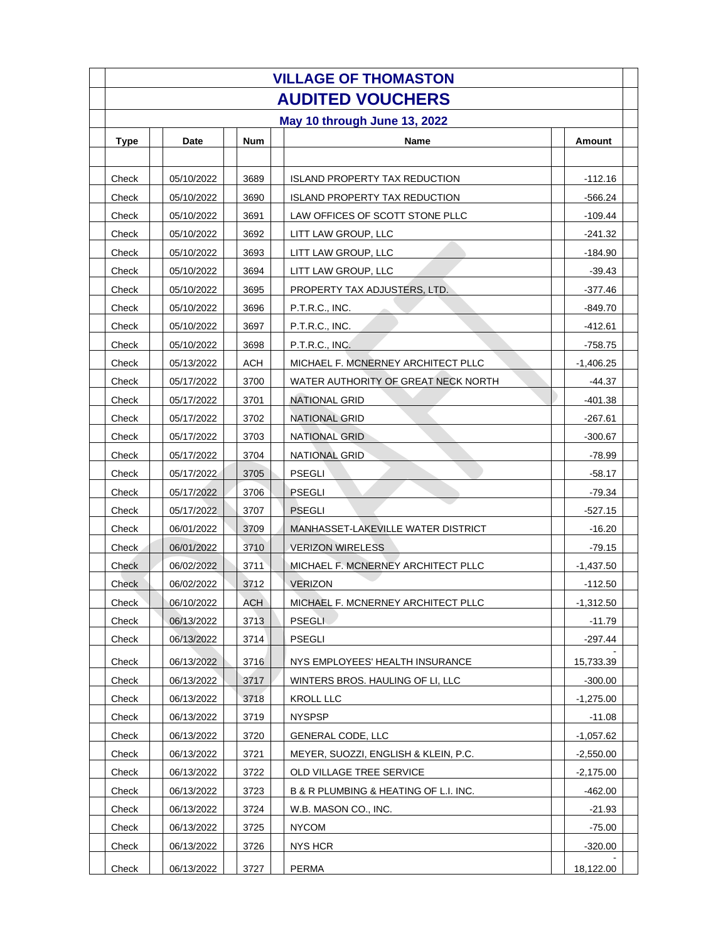| <b>VILLAGE OF THOMASTON</b> |  |            |  |            |  |                                       |  |             |  |  |  |
|-----------------------------|--|------------|--|------------|--|---------------------------------------|--|-------------|--|--|--|
|                             |  |            |  |            |  | <b>AUDITED VOUCHERS</b>               |  |             |  |  |  |
|                             |  |            |  |            |  | May 10 through June 13, 2022          |  |             |  |  |  |
| <b>Type</b>                 |  | Date       |  | <b>Num</b> |  | <b>Name</b>                           |  | Amount      |  |  |  |
|                             |  |            |  |            |  |                                       |  |             |  |  |  |
| Check                       |  | 05/10/2022 |  | 3689       |  | <b>ISLAND PROPERTY TAX REDUCTION</b>  |  | -112.16     |  |  |  |
| Check                       |  | 05/10/2022 |  | 3690       |  | <b>ISLAND PROPERTY TAX REDUCTION</b>  |  | $-566.24$   |  |  |  |
| Check                       |  | 05/10/2022 |  | 3691       |  | LAW OFFICES OF SCOTT STONE PLLC       |  | -109.44     |  |  |  |
| Check                       |  | 05/10/2022 |  | 3692       |  | LITT LAW GROUP, LLC                   |  | $-241.32$   |  |  |  |
| Check                       |  | 05/10/2022 |  | 3693       |  | LITT LAW GROUP, LLC                   |  | $-184.90$   |  |  |  |
| Check                       |  | 05/10/2022 |  | 3694       |  | LITT LAW GROUP, LLC                   |  | $-39.43$    |  |  |  |
| Check                       |  | 05/10/2022 |  | 3695       |  | PROPERTY TAX ADJUSTERS, LTD.          |  | -377.46     |  |  |  |
| Check                       |  | 05/10/2022 |  | 3696       |  | P.T.R.C., INC.                        |  | -849.70     |  |  |  |
| Check                       |  | 05/10/2022 |  | 3697       |  | P.T.R.C., INC.                        |  | -412.61     |  |  |  |
| Check                       |  | 05/10/2022 |  | 3698       |  | P.T.R.C., INC.                        |  | $-758.75$   |  |  |  |
| Check                       |  | 05/13/2022 |  | <b>ACH</b> |  | MICHAEL F. MCNERNEY ARCHITECT PLLC    |  | $-1,406.25$ |  |  |  |
| Check                       |  | 05/17/2022 |  | 3700       |  | WATER AUTHORITY OF GREAT NECK NORTH   |  | -44.37      |  |  |  |
| Check                       |  | 05/17/2022 |  | 3701       |  | <b>NATIONAL GRID</b>                  |  | $-401.38$   |  |  |  |
| Check                       |  | 05/17/2022 |  | 3702       |  | <b>NATIONAL GRID</b>                  |  | -267.61     |  |  |  |
| Check                       |  | 05/17/2022 |  | 3703       |  | <b>NATIONAL GRID</b>                  |  | $-300.67$   |  |  |  |
| Check                       |  | 05/17/2022 |  | 3704       |  | <b>NATIONAL GRID</b>                  |  | $-78.99$    |  |  |  |
| Check                       |  | 05/17/2022 |  | 3705       |  | <b>PSEGLI</b>                         |  | $-58.17$    |  |  |  |
| Check                       |  | 05/17/2022 |  | 3706       |  | <b>PSEGLI</b>                         |  | $-79.34$    |  |  |  |
| Check                       |  | 05/17/2022 |  | 3707       |  | <b>PSEGLI</b>                         |  | -527.15     |  |  |  |
| Check                       |  | 06/01/2022 |  | 3709       |  | MANHASSET-LAKEVILLE WATER DISTRICT    |  | $-16.20$    |  |  |  |
| Check                       |  | 06/01/2022 |  | 3710       |  | <b>VERIZON WIRELESS</b>               |  | $-79.15$    |  |  |  |
| Check                       |  | 06/02/2022 |  | 3711       |  | MICHAEL F. MCNERNEY ARCHITECT PLLC    |  | $-1,437.50$ |  |  |  |
| Check                       |  | 06/02/2022 |  | 3712       |  | <b>VERIZON</b>                        |  | $-112.50$   |  |  |  |
| Check                       |  | 06/10/2022 |  | <b>ACH</b> |  | MICHAEL F. MCNERNEY ARCHITECT PLLC    |  | $-1,312.50$ |  |  |  |
| Check                       |  | 06/13/2022 |  | 3713       |  | <b>PSEGLI</b>                         |  | $-11.79$    |  |  |  |
| Check                       |  | 06/13/2022 |  | 3714       |  | <b>PSEGLI</b>                         |  | -297.44     |  |  |  |
| Check                       |  | 06/13/2022 |  | 3716       |  | NYS EMPLOYEES' HEALTH INSURANCE       |  | 15,733.39   |  |  |  |
| Check                       |  | 06/13/2022 |  | 3717       |  | WINTERS BROS. HAULING OF LI, LLC      |  | $-300.00$   |  |  |  |
| Check                       |  | 06/13/2022 |  | 3718       |  | KROLL LLC                             |  | $-1,275.00$ |  |  |  |
| Check                       |  | 06/13/2022 |  | 3719       |  | <b>NYSPSP</b>                         |  | $-11.08$    |  |  |  |
| Check                       |  | 06/13/2022 |  | 3720       |  | GENERAL CODE, LLC                     |  | $-1,057.62$ |  |  |  |
| Check                       |  | 06/13/2022 |  | 3721       |  | MEYER, SUOZZI, ENGLISH & KLEIN, P.C.  |  | $-2,550.00$ |  |  |  |
| Check                       |  | 06/13/2022 |  | 3722       |  | OLD VILLAGE TREE SERVICE              |  | $-2,175.00$ |  |  |  |
| Check                       |  | 06/13/2022 |  | 3723       |  | B & R PLUMBING & HEATING OF L.I. INC. |  | $-462.00$   |  |  |  |
| Check                       |  | 06/13/2022 |  | 3724       |  | W.B. MASON CO., INC.                  |  | $-21.93$    |  |  |  |
| Check                       |  | 06/13/2022 |  | 3725       |  | <b>NYCOM</b>                          |  | $-75.00$    |  |  |  |
| Check                       |  | 06/13/2022 |  | 3726       |  | NYS HCR                               |  | -320.00     |  |  |  |
| Check                       |  | 06/13/2022 |  | 3727       |  | <b>PERMA</b>                          |  | 18,122.00   |  |  |  |